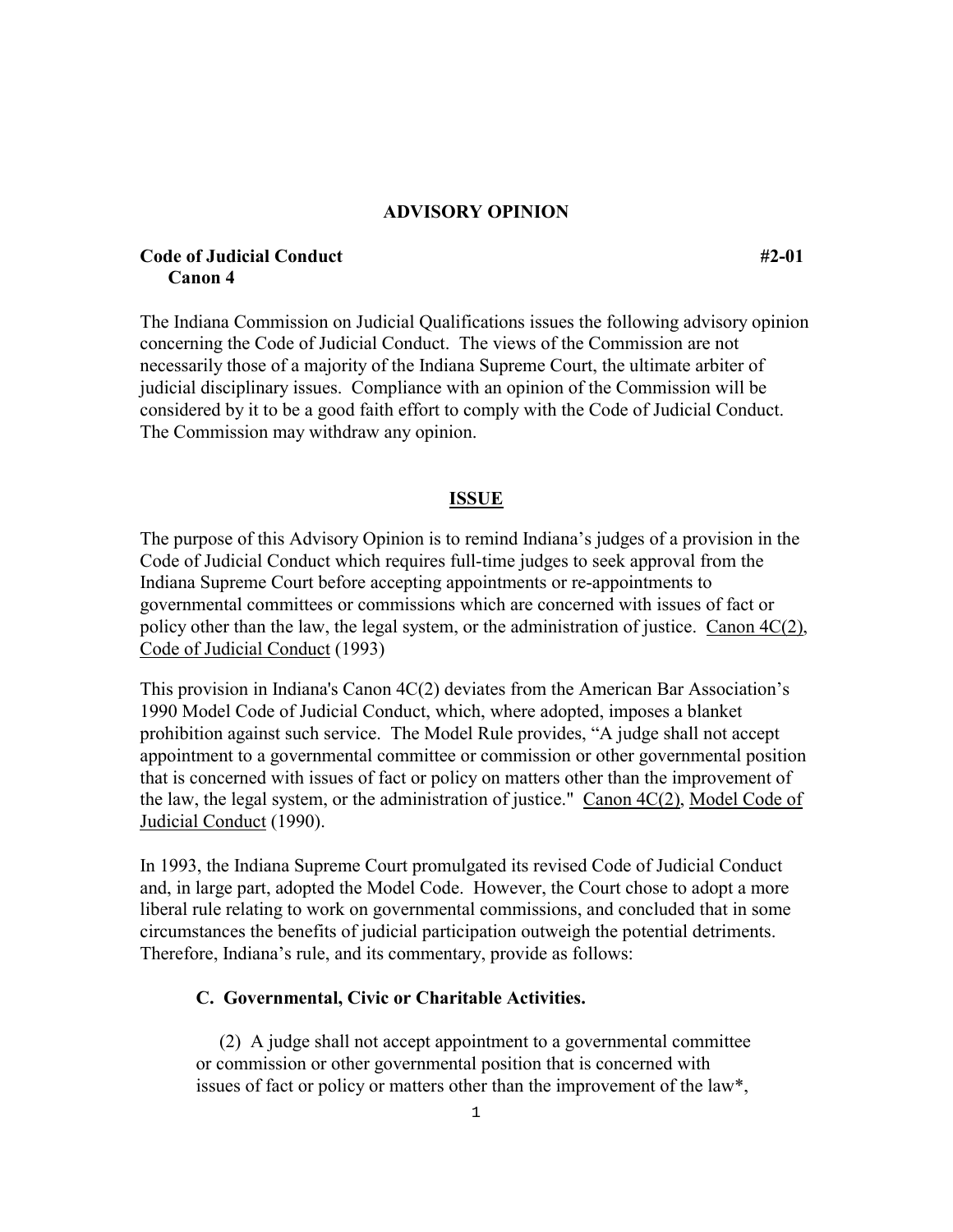#### **ADVISORY OPINION**

# **Code of Judicial Conduct #2-01 Canon 4**

The Indiana Commission on Judicial Qualifications issues the following advisory opinion concerning the Code of Judicial Conduct. The views of the Commission are not necessarily those of a majority of the Indiana Supreme Court, the ultimate arbiter of judicial disciplinary issues. Compliance with an opinion of the Commission will be considered by it to be a good faith effort to comply with the Code of Judicial Conduct. The Commission may withdraw any opinion.

# **ISSUE**

The purpose of this Advisory Opinion is to remind Indiana's judges of a provision in the Code of Judicial Conduct which requires full-time judges to seek approval from the Indiana Supreme Court before accepting appointments or re-appointments to governmental committees or commissions which are concerned with issues of fact or policy other than the law, the legal system, or the administration of justice. Canon 4C(2), Code of Judicial Conduct (1993)

This provision in Indiana's Canon 4C(2) deviates from the American Bar Association's 1990 Model Code of Judicial Conduct, which, where adopted, imposes a blanket prohibition against such service. The Model Rule provides, "A judge shall not accept appointment to a governmental committee or commission or other governmental position that is concerned with issues of fact or policy on matters other than the improvement of the law, the legal system, or the administration of justice." Canon 4C(2), Model Code of Judicial Conduct (1990).

In 1993, the Indiana Supreme Court promulgated its revised Code of Judicial Conduct and, in large part, adopted the Model Code. However, the Court chose to adopt a more liberal rule relating to work on governmental commissions, and concluded that in some circumstances the benefits of judicial participation outweigh the potential detriments. Therefore, Indiana's rule, and its commentary, provide as follows:

### **C. Governmental, Civic or Charitable Activities.**

 (2) A judge shall not accept appointment to a governmental committee or commission or other governmental position that is concerned with issues of fact or policy or matters other than the improvement of the law\*,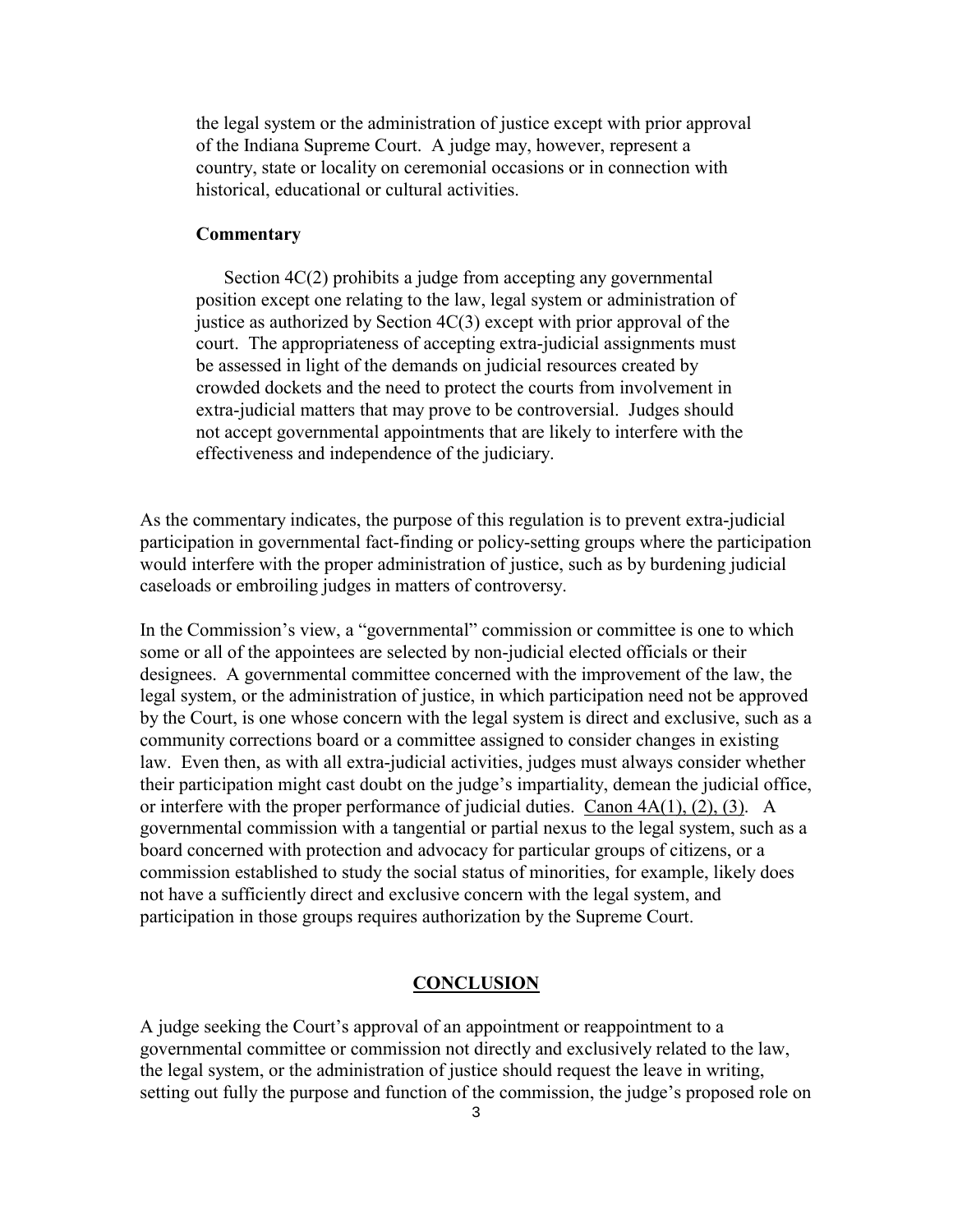the legal system or the administration of justice except with prior approval of the Indiana Supreme Court. A judge may, however, represent a country, state or locality on ceremonial occasions or in connection with historical, educational or cultural activities.

#### **Commentary**

 Section 4C(2) prohibits a judge from accepting any governmental position except one relating to the law, legal system or administration of justice as authorized by Section 4C(3) except with prior approval of the court. The appropriateness of accepting extra-judicial assignments must be assessed in light of the demands on judicial resources created by crowded dockets and the need to protect the courts from involvement in extra-judicial matters that may prove to be controversial. Judges should not accept governmental appointments that are likely to interfere with the effectiveness and independence of the judiciary.

As the commentary indicates, the purpose of this regulation is to prevent extra-judicial participation in governmental fact-finding or policy-setting groups where the participation would interfere with the proper administration of justice, such as by burdening judicial caseloads or embroiling judges in matters of controversy.

In the Commission's view, a "governmental" commission or committee is one to which some or all of the appointees are selected by non-judicial elected officials or their designees. A governmental committee concerned with the improvement of the law, the legal system, or the administration of justice, in which participation need not be approved by the Court, is one whose concern with the legal system is direct and exclusive, such as a community corrections board or a committee assigned to consider changes in existing law. Even then, as with all extra-judicial activities, judges must always consider whether their participation might cast doubt on the judge's impartiality, demean the judicial office, or interfere with the proper performance of judicial duties. Canon 4A(1), (2), (3). A governmental commission with a tangential or partial nexus to the legal system, such as a board concerned with protection and advocacy for particular groups of citizens, or a commission established to study the social status of minorities, for example, likely does not have a sufficiently direct and exclusive concern with the legal system, and participation in those groups requires authorization by the Supreme Court.

# **CONCLUSION**

A judge seeking the Court's approval of an appointment or reappointment to a governmental committee or commission not directly and exclusively related to the law, the legal system, or the administration of justice should request the leave in writing, setting out fully the purpose and function of the commission, the judge's proposed role on